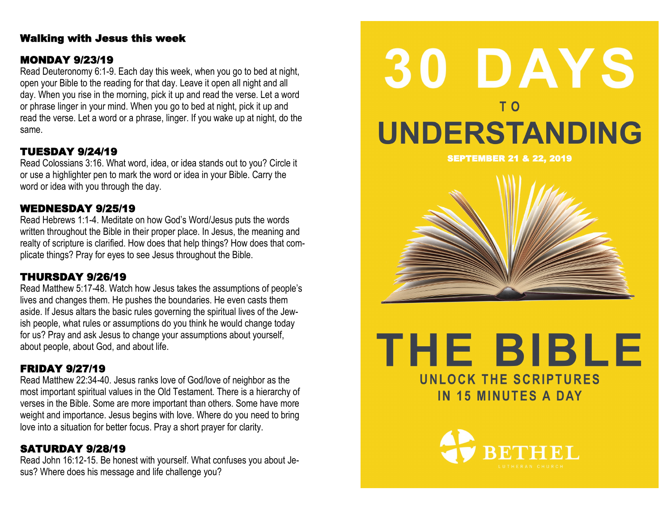# Walking with Jesus this week

## MONDAY 9/23/19

Read Deuteronomy 6:1-9. Each day this week, when you go to bed at night, open your Bible to the reading for that day. Leave it open all night and all day. When you rise in the morning, pick it up and read the verse. Let a word or phrase linger in your mind. When you go to bed at night, pick it up and read the verse. Let a word or a phrase, linger. If you wake up at night, do the same.

# TUESDAY 9/24/19

Read Colossians 3:16. What word, idea, or idea stands out to you? Circle it or use a highlighter pen to mark the word or idea in your Bible. Carry the word or idea with you through the day.

#### WEDNESDAY 9/25/19

Read Hebrews 1:1-4. Meditate on how God's Word/Jesus puts the words written throughout the Bible in their proper place. In Jesus, the meaning and realty of scripture is clarified. How does that help things? How does that complicate things? Pray for eyes to see Jesus throughout the Bible.

# THURSDAY 9/26/19

Read Matthew 5:17-48. Watch how Jesus takes the assumptions of people's lives and changes them. He pushes the boundaries. He even casts them aside. If Jesus altars the basic rules governing the spiritual lives of the Jewish people, what rules or assumptions do you think he would change today for us? Pray and ask Jesus to change your assumptions about yourself, about people, about God, and about life.

# FRIDAY 9/27/19

Read Matthew 22:34-40. Jesus ranks love of God/love of neighbor as the most important spiritual values in the Old Testament. There is a hierarchy of verses in the Bible. Some are more important than others. Some have more weight and importance. Jesus begins with love. Where do you need to bring love into a situation for better focus. Pray a short prayer for clarity.

## SATURDAY 9/28/19

Read John 16:12-15. Be honest with yourself. What confuses you about Jesus? Where does his message and life challenge you?